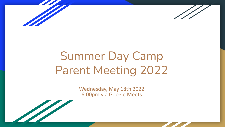



# Summer Day Camp Parent Meeting 2022

Wednesday, May 18th 2022 6:00pm via Google Meets

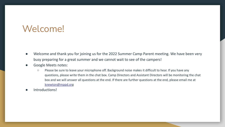### Welcome!

- Welcome and thank you for joining us for the 2022 Summer Camp Parent meeting. We have been very busy preparing for a great summer and we cannot wait to see of the campers!
- Google Meets notes:
	- Please be sure to leave your microphone off. Background noise makes it difficult to hear. If you have any questions, please write them in the chat box. Camp Directors and Assistant Directors will be monitoring the chat box and we will answer all questions at the end. If there are further questions at the end, please email me at knewton@mppd.org
- **Introductions!**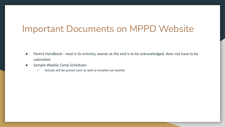### Important Documents on MPPD Website

- Parent Handbook read in its entirety; waiver at the end is to be acknowledged, does not have to be submitted
- Sample Weekly Camp Schedules
	- Actuals will be posted soon as well as emailed out weekly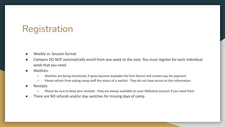# Registration

- Weekly vs. Session format
- Campers DO NOT automatically enroll from one week to the next. You must register for each individual week that you need
- Waitlists-
	- Waitlists are being monitored, if spots become available the Park District will contact you for payment
	- Please refrain from asking camp staff the status of a waitlist. They do not have access to this information.
- **Receipts** 
	- Please be sure to keep your receipts they are always available on your Webstore account if you need them
- There are NO refunds and/or day switches for missing days of camp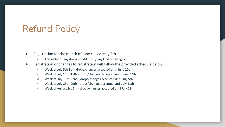### Refund Policy

- Registration for the month of June closed May 9th
	- This includes any drops or additions / any kind of changes
- Registration or changes to registration will follow the provided schedule below:
	- Week of July 5th-8th drops/changes accepted until June 20th
	- Week of July 11th-15th drops/changes accepted until June 27th
	- Week of July 18th-22nd drops/changes accepted until July 5th
	- Week of July 25th-29th drops/changes accepted until July 11th
	- Week of August 1st-5th drops/changes accepted until July 18th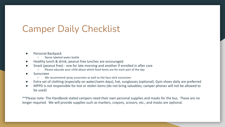# Camper Daily Checklist

- Personal Backpack
	- Name labeled water bottle
- Healthy lunch & drink; peanut free lunches are encouraged
- Snack (peanut free) one for late morning and another if enrolled in after care
	- Please educate your child about which food items are for each part of the day
- **Sunscreen** 
	- We recommend spray sunscreen as well as the face stick sunscreen
- Extra set of clothing (especially on water/swim days), hat, sunglasses (optional). Gym shoes daily are preferred
- MPPD is not responsible for lost or stolen items (do not bring valuables; camper phones will not be allowed to be used)

\*\*Please note: The Handbook stated campers need their own personal supplies and masks for the bus. These are no longer required. We will provide supplies such as markers, crayons, scissors, etc., and masks are optional.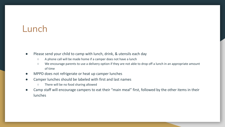### Lunch

- Please send your child to camp with lunch, drink, & utensils each day
	- A phone call will be made home if a camper does not have a lunch
	- We encourage parents to use a delivery option if they are not able to drop off a lunch in an appropriate amount of time
- MPPD does not refrigerate or heat up camper lunches
- Camper lunches should be labeled with first and last names
	- There will be no food sharing allowed
- Camp staff will encourage campers to eat their "main meal" first, followed by the other items in their lunches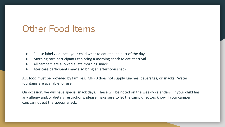### Other Food Items

- Please label / educate your child what to eat at each part of the day
- Morning care participants can bring a morning snack to eat at arrival
- All campers are allowed a late morning snack
- Ater care participants may also bring an afternoon snack

ALL food must be provided by families. MPPD does not supply lunches, beverages, or snacks. Water fountains are available for use.

On occasion, we will have special snack days. These will be noted on the weekly calendars. If your child has any allergy and/or dietary restrictions, please make sure to let the camp directors know if your camper can/cannot eat the special snack.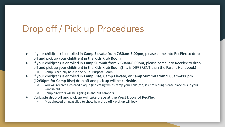# Drop off / Pick up Procedures

- If your child(ren) is enrolled in **Camp Elevate from 7:30am-6:00pm**, please come into RecPlex to drop off and pick up your child(ren) in the **Kids Klub Room**
- If your child(ren) is enrolled in **Camp Summit from 7:30am-6:00pm**, please come into RecPlex to drop off and pick up your child(ren) in the **Kids Klub Room**(this is DIFFERENT than the Parent Handbook)
	- **○** Camp is actually held in the Multi-Purpose Room
- If your child(ren) is enrolled in **Camp Rise, Camp Elevate, or Camp Summit from 9:00am-4:00pm (12:30pm for Camp Rise)** drop off and pick up will be **curbside**.
	- You will receive a colored plaque (indicating which camp your child(ren) is enrolled in) please place this in your windshield
	- Camp directors will be signing in and out campers
- Curbside drop off and pick up will take place at the West Doors of RecPlex
	- Map showed on next slide to show how drop off / pick up will look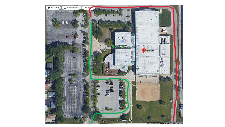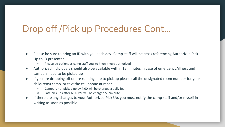# Drop off /Pick up Procedures Cont…

- Please be sure to bring an ID with you each day! Camp staff will be cross referencing Authorized Pick Up to ID presented
	- Please be patient as camp staff gets to know those authorized
- Authorized individuals should also be available within 15 minutes in case of emergency/illness and campers need to be picked up
- If you are dropping off or are running late to pick up please call the designated room number for your child(rens) camp, or text the cell phone number
	- Campers not picked up by 4:00 will be charged a daily fee
	- Late pick ups after 6:00 PM will be charged \$1/minute
- If there are any changes to your Authorized Pick Up, you must notify the camp staff and/or myself in writing as soon as possible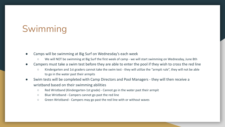# Swimming

- Camps will be swimming at Big Surf on Wednesday's each week
	- We will NOT be swimming at Big Surf the first week of camp we will start swimming on Wednesday, June 8th
- Campers must take a swim test before they are able to enter the pool if they wish to cross the red line
	- Kindergarten and 1st graders cannot take the swim test they will utilize the "armpit rule", they will not be able to go in the water past their armpits
- Swim tests will be completed with Camp Directors and Pool Managers they will then receive a wristband based on their swimming abilities
	- Red Wristband (Kindergarten-1st grade) Cannot go in the water past their armpit
	- Blue Wristband Campers cannot go past the red line
	- Green Wristband Campers may go past the red line with or without waves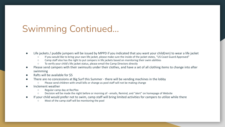# Swimming Continued…

- Life jackets / puddle jumpers will be issued by MPPD if you indicated that you want your child(ren) to wear a life jacket
	- If you would like to bring your own life jacket, please make sure the inside of the jacket states, "US Coast Guard Approved"
	- Camp staff also has the right to put campers in life jackets based on monitoring their swim abilities
	- To verify your child's life jacket status, please email the Camp Directors directly
- Please send campers with their swimsuits under their clothes, and have a set of all clothing items to change into after swimming
- Rafts will be available for \$5
- There are no concessions at Big Surf this Summer there will be vending machines in the lobby
	- Please send children with small bills or change as pool staff will not be making change
- Inclement weather
	- Regular camp day at RecPlex
	- Decision will be made the night before or morning of emails, Remind, and "alert" on homepage of Website
- If your child would prefer not to swim, camp staff will bring limited activities for campers to utilize while there
	- Most of the camp staff will be monitoring the pool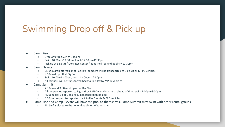# Swimming Drop off & Pick up

#### Camp Rise

- Drop off at Big Surf at 9:00am
- Swim 10:00am-12:00pm, lunch 12:00pm-12:30pm
- Pick up at Big Surf / Lions Rec Center / Bandshell (behind pool) @ 12:30pm
- Camp Elevate
	- 7:30am drop off regular at RecPlex campers will be transported to Big Surf by MPPD vehicles
	- 9:00am drop off at Big Surf
	- Swim 10:00a-12:00pm, lunch 12:00pm-12:30pm
	- All campers will be transported back to RecPlex by MPPD vehicles
- Camp Summit
	- 7:30am and 9:00am drop off at RecPlex
	- All campers transported to Big Surf by MPPD vehicles lunch ahead of time, swim 1:00pm-3:00pm
	- 4:00pm pick up at Lions Rec / Bandshell (behind pool)
	- 6:00pm campers transported back to RecPlex via MPPD vehicles
- Camp Rise and Camp Elevate will have the pool to themselves, Camp Summit may swim with other rental groups
	- Big Surf is closed to the general public on Wednesdays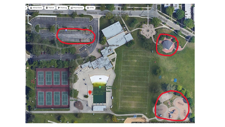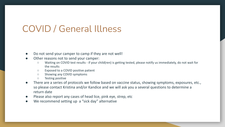# COVID / General Illness

- Do not send your camper to camp if they are not well!
- Other reasons not to send your camper:
	- Waiting on COVID test results if your child(ren) is getting tested, please notify us immediately, do not wait for the results
	- Exposed to a COVID positive patient
	- Showing any COVID symptoms
	- Testing positive
- There are a series of protocols we follow based on vaccine status, showing symptoms, exposures, etc., so please contact Kristina and/or Kandice and we will ask you a several questions to determine a return date
- Please also report any cases of head lice, pink eye, strep, etc
- We recommend setting up a "sick day" alternative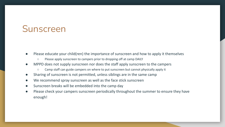### Sunscreen

- Please educate your child(ren) the importance of sunscreen and how to apply it themselves
	- Please apply sunscreen to campers prior to dropping off at camp DAILY
- MPPD does not supply sunscreen nor does the staff apply sunscreen to the campers
	- Camp staff can guide campers on where to put sunscreen but cannot physically apply it
- Sharing of sunscreen is not permitted, unless siblings are in the same camp
- We recommend spray sunscreen as well as the face stick sunscreen
- Sunscreen breaks will be embedded into the camp day
- Please check your campers sunscreen periodically throughout the summer to ensure they have enough!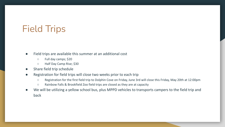# Field Trips

- Field trips are available this summer at an additional cost
	- Full day camps; \$20
	- Half Day Camp Rise; \$30
- Share field trip schedule
- Registration for field trips will close two weeks prior to each trip
	- Registration for the first field trip to Dolphin Cove on Friday, June 3rd will close this Friday, May 20th at 12:00pm
	- Rainbow Falls & Brookfield Zoo field trips are closed as they are at capacity
- We will be utilizing a yellow school bus, plus MPPD vehicles to transports campers to the field trip and back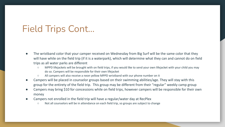### Field Trips Cont…

- The wristband color that your camper received on Wednesday from Big Surf will be the same color that they will have while on the field trip (if it is a waterpark), which will determine what they can and cannot do on field trips as all water parks are different
	- MPPD lifejackets will be brought with on field trips, if you would like to send your own lifejacket with your child you may do so. Campers will be responsible for their own lifejacket
	- All campers will also receive a neon yellow MPPD wristband with our phone number on it
- Campers will be placed in counselor groups based on their swimming abilities/age. They will stay with this group for the entirety of the field trip. This group may be different from their "regular" weekly camp group
- Campers may bring \$10 for concessions while on field trips, however campers will be responsible for their own money
- Campers not enrolled in the field trip will have a regular/water day at RecPlex
	- Not all counselors will be in attendance on each field trip, so groups are subject to change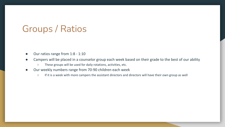# Groups / Ratios

- Our ratios range from 1:8 1:10
- Campers will be placed in a counselor group each week based on their grade to the best of our ability
	- These groups will be used for daily rotations, activities, etc.
- Our weekly numbers range from 70-90 children each week
	- If it is a week with more campers the assistant directors and directors will have their own group as well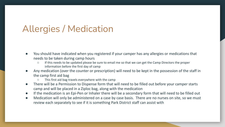# Allergies / Medication

- You should have indicated when you registered if your camper has any allergies or medications that needs to be taken during camp hours
	- If this needs to be updated please be sure to email me so that we can get the Camp Directors the proper information before the first day of camp
- Any medication (over the counter or prescription) will need to be kept in the possession of the staff in the camp first aid bag
	- This first aid bag travels everywhere with the camp
- There will be a Permission to Dispense form that will need to be filled out before your camper starts camp and will be placed in a Ziploc bag, along with the medication
- If the medication is an Epi-Pen or Inhaler there will be a secondary form that will need to be filled out
- Medication will only be administered on a case by case basis. There are no nurses on site, so we must review each separately to see if it is something Park District staff can assist with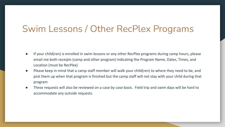### Swim Lessons / Other RecPlex Programs

- If your child(ren) is enrolled in swim lessons or any other RecPlex programs during camp hours, please email me both receipts (camp and other program) indicating the Program Name, Dates, Times, and Location (must be RecPlex)
- Please keep in mind that a camp staff member will walk your child(ren) to where they need to be, and pick them up when that program is finished but the camp staff will not stay with your child during that program
- These requests will also be reviewed on a case by case basis. Field trip and swim days will be hard to accommodate any outside requests.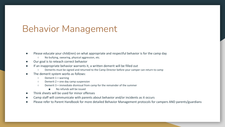### Behavior Management

- Please educate your child(ren) on what appropriate and respectful behavior is for the camp day
	- No bullying, swearing, physical aggression, etc.
- Our goal is to reteach correct behavior
- If an inappropriate behavior warrants it, a written demerit will be filled out
	- Demerits must be signed and returned to the Camp Director before your camper can return to camp
- The demerit system works as follows:
	- Demerit 1 = warning
	- Demerit 2 = one day camp suspension
	- Demerit 3 = immediate dismissal from camp for the remainder of the summer
		- No refunds will be issued
- Think sheets will be used for minor offenses
- Camp staff will communicate with parents about behavior and/or incidents as it occurs
- Please refer to Parent Handbook for more detailed Behavior Management protocols for campers AND parents/guardians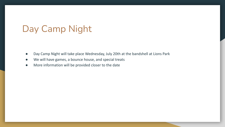# Day Camp Night

- Day Camp Night will take place Wednesday, July 20th at the bandshell at Lions Park
- We will have games, a bounce house, and special treats
- More information will be provided closer to the date